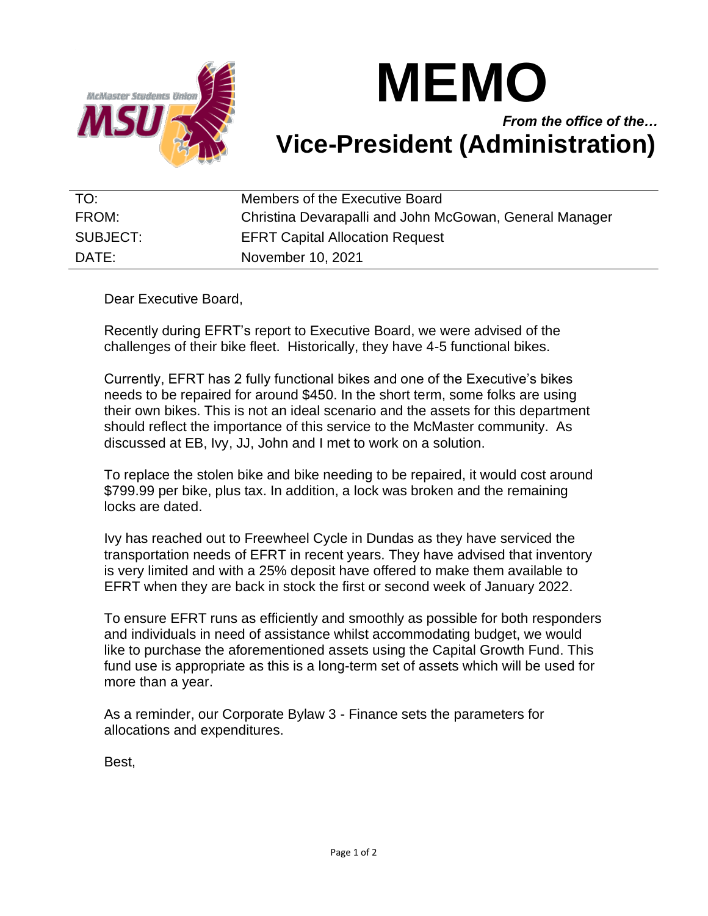

## **MEMO**

## *From the office of the…* **Vice-President (Administration)**

| TO:      | Members of the Executive Board                          |
|----------|---------------------------------------------------------|
| FROM:    | Christina Devarapalli and John McGowan, General Manager |
| SUBJECT: | <b>EFRT Capital Allocation Request</b>                  |
| DATE:    | November 10, 2021                                       |

Dear Executive Board,

Recently during EFRT's report to Executive Board, we were advised of the challenges of their bike fleet. Historically, they have 4-5 functional bikes.

Currently, EFRT has 2 fully functional bikes and one of the Executive's bikes needs to be repaired for around \$450. In the short term, some folks are using their own bikes. This is not an ideal scenario and the assets for this department should reflect the importance of this service to the McMaster community. As discussed at EB, Ivy, JJ, John and I met to work on a solution.

To replace the stolen bike and bike needing to be repaired, it would cost around \$799.99 per bike, plus tax. In addition, a lock was broken and the remaining locks are dated.

Ivy has reached out to Freewheel Cycle in Dundas as they have serviced the transportation needs of EFRT in recent years. They have advised that inventory is very limited and with a 25% deposit have offered to make them available to EFRT when they are back in stock the first or second week of January 2022.

To ensure EFRT runs as efficiently and smoothly as possible for both responders and individuals in need of assistance whilst accommodating budget, we would like to purchase the aforementioned assets using the Capital Growth Fund. This fund use is appropriate as this is a long-term set of assets which will be used for more than a year.

As a reminder, our Corporate Bylaw 3 - Finance sets the parameters for allocations and expenditures.

Best,